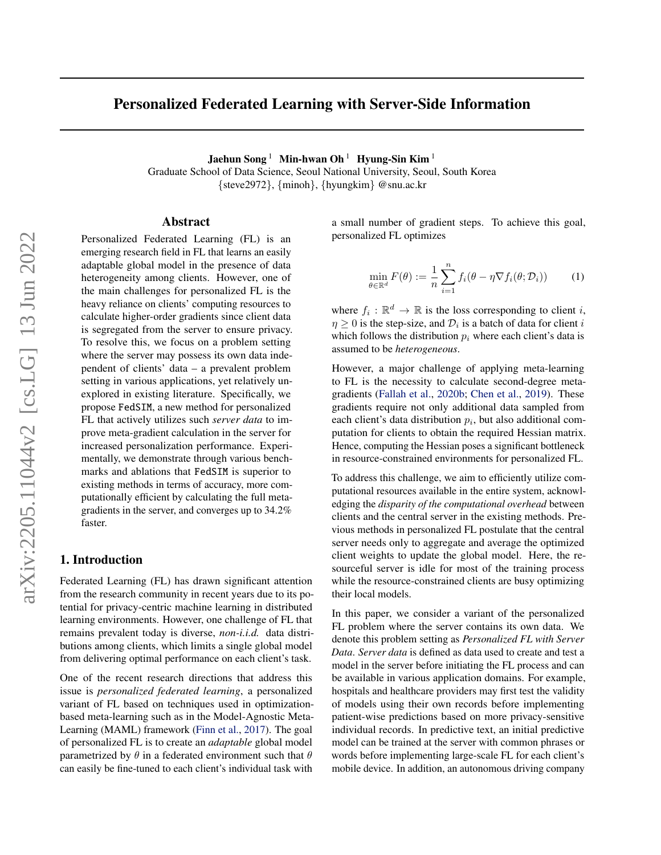# Personalized Federated Learning with Server-Side Information

Jaehun Song<sup>1</sup> Min-hwan Oh<sup>1</sup> Hyung-Sin Kim<sup>1</sup>

Graduate School of Data Science, Seoul National University, Seoul, South Korea {steve2972}, {minoh}, {hyungkim} @snu.ac.kr

 $\ddot{\theta}$ 

### Abstract

Personalized Federated Learning (FL) is an emerging research field in FL that learns an easily adaptable global model in the presence of data heterogeneity among clients. However, one of the main challenges for personalized FL is the heavy reliance on clients' computing resources to calculate higher-order gradients since client data is segregated from the server to ensure privacy. To resolve this, we focus on a problem setting where the server may possess its own data independent of clients' data – a prevalent problem setting in various applications, yet relatively unexplored in existing literature. Specifically, we propose FedSIM, a new method for personalized FL that actively utilizes such *server data* to improve meta-gradient calculation in the server for increased personalization performance. Experimentally, we demonstrate through various benchmarks and ablations that FedSIM is superior to existing methods in terms of accuracy, more computationally efficient by calculating the full metagradients in the server, and converges up to 34.2% faster.

### 1. Introduction

Federated Learning (FL) has drawn significant attention from the research community in recent years due to its potential for privacy-centric machine learning in distributed learning environments. However, one challenge of FL that remains prevalent today is diverse, *non-i.i.d.* data distributions among clients, which limits a single global model from delivering optimal performance on each client's task.

One of the recent research directions that address this issue is *personalized federated learning*, a personalized variant of FL based on techniques used in optimizationbased meta-learning such as in the Model-Agnostic Meta-Learning (MAML) framework [\(Finn et al.,](#page-8-0) [2017\)](#page-8-0). The goal of personalized FL is to create an *adaptable* global model parametrized by  $\theta$  in a federated environment such that  $\theta$ can easily be fine-tuned to each client's individual task with

a small number of gradient steps. To achieve this goal, personalized FL optimizes

$$
\min_{\theta \in \mathbb{R}^d} F(\theta) := \frac{1}{n} \sum_{i=1}^n f_i(\theta - \eta \nabla f_i(\theta; \mathcal{D}_i)) \tag{1}
$$

where  $f_i : \mathbb{R}^d \to \mathbb{R}$  is the loss corresponding to client i,  $\eta \geq 0$  is the step-size, and  $\mathcal{D}_i$  is a batch of data for client i which follows the distribution  $p_i$ , where each client's data is assumed to be *heterogeneous*.

However, a major challenge of applying meta-learning to FL is the necessity to calculate second-degree metagradients [\(Fallah et al.,](#page-8-1) [2020b;](#page-8-1) [Chen et al.,](#page-8-2) [2019\)](#page-8-2). These gradients require not only additional data sampled from each client's data distribution  $p_i$ , but also additional computation for clients to obtain the required Hessian matrix. Hence, computing the Hessian poses a significant bottleneck in resource-constrained environments for personalized FL.

To address this challenge, we aim to efficiently utilize computational resources available in the entire system, acknowledging the *disparity of the computational overhead* between clients and the central server in the existing methods. Previous methods in personalized FL postulate that the central server needs only to aggregate and average the optimized client weights to update the global model. Here, the resourceful server is idle for most of the training process while the resource-constrained clients are busy optimizing their local models.

In this paper, we consider a variant of the personalized FL problem where the server contains its own data. We denote this problem setting as *Personalized FL with Server Data*. *Server data* is defined as data used to create and test a model in the server before initiating the FL process and can be available in various application domains. For example, hospitals and healthcare providers may first test the validity of models using their own records before implementing patient-wise predictions based on more privacy-sensitive individual records. In predictive text, an initial predictive model can be trained at the server with common phrases or words before implementing large-scale FL for each client's mobile device. In addition, an autonomous driving company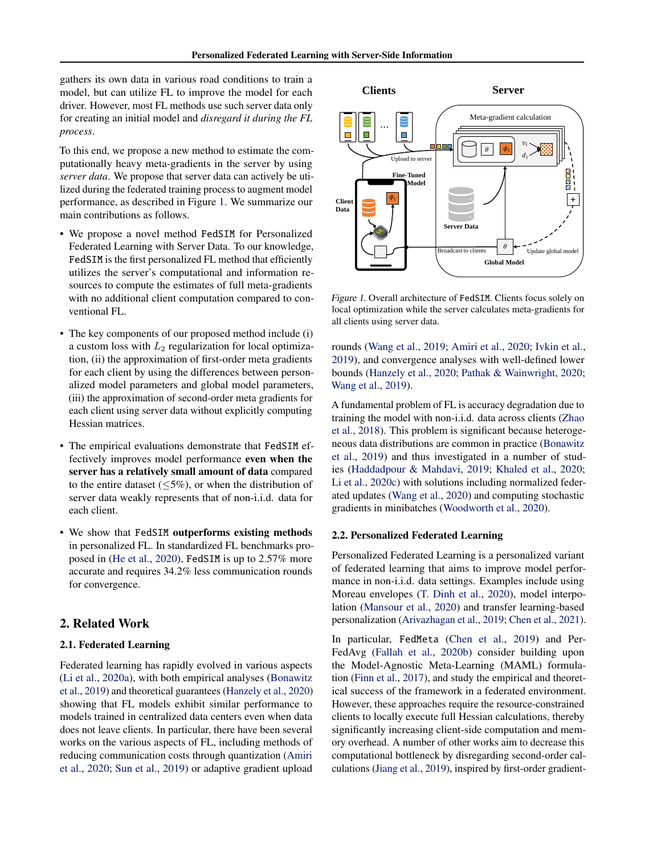gathers its own data in various road conditions to train a model, but can utilize FL to improve the model for each driver. However, most FL methods use such server data only for creating an initial model and *disregard it during the FL process*.

To this end, we propose a new method to estimate the computationally heavy meta-gradients in the server by using *server data*. We propose that server data can actively be utilized during the federated training process to augment model performance, as described in Figure [1.](#page-1-0) We summarize our main contributions as follows.

- We propose a novel method FedSIM for Personalized Federated Learning with Server Data. To our knowledge, FedSIM is the first personalized FL method that efficiently utilizes the server's computational and information resources to compute the estimates of full meta-gradients with no additional client computation compared to conventional FL.
- The key components of our proposed method include (i) a custom loss with  $L_2$  regularization for local optimization, (ii) the approximation of first-order meta gradients for each client by using the differences between personalized model parameters and global model parameters, (iii) the approximation of second-order meta gradients for each client using server data without explicitly computing Hessian matrices.
- The empirical evaluations demonstrate that FedSIM effectively improves model performance even when the server has a relatively small amount of data compared to the entire dataset  $(<5\%)$ , or when the distribution of server data weakly represents that of non-i.i.d. data for each client.
- We show that FedSIM outperforms existing methods in personalized FL. In standardized FL benchmarks proposed in [\(He et al.,](#page-8-3) [2020\)](#page-8-3), FedSIM is up to 2.57% more accurate and requires 34.2% less communication rounds for convergence.

## 2. Related Work

#### 2.1. Federated Learning

Federated learning has rapidly evolved in various aspects [\(Li et al.,](#page-8-4) [2020a\)](#page-8-4), with both empirical analyses [\(Bonawitz](#page-8-5) [et al.,](#page-8-5) [2019\)](#page-8-5) and theoretical guarantees [\(Hanzely et al.,](#page-8-6) [2020\)](#page-8-6) showing that FL models exhibit similar performance to models trained in centralized data centers even when data does not leave clients. In particular, there have been several works on the various aspects of FL, including methods of reducing communication costs through quantization [\(Amiri](#page-8-7) [et al.,](#page-8-7) [2020;](#page-8-7) [Sun et al.,](#page-9-0) [2019\)](#page-9-0) or adaptive gradient upload



<span id="page-1-0"></span>Figure 1. Overall architecture of FedSIM. Clients focus solely on local optimization while the server calculates meta-gradients for all clients using server data.

rounds [\(Wang et al.,](#page-9-1) [2019;](#page-9-1) [Amiri et al.,](#page-8-7) [2020;](#page-8-7) [Ivkin et al.,](#page-8-8) [2019\)](#page-8-8), and convergence analyses with well-defined lower bounds [\(Hanzely et al.,](#page-8-6) [2020;](#page-8-6) [Pathak & Wainwright,](#page-8-9) [2020;](#page-8-9) [Wang et al.,](#page-9-1) [2019\)](#page-9-1).

A fundamental problem of FL is accuracy degradation due to training the model with non-i.i.d. data across clients [\(Zhao](#page-9-2) [et al.,](#page-9-2) [2018\)](#page-9-2). This problem is significant because heterogeneous data distributions are common in practice [\(Bonawitz](#page-8-5) [et al.,](#page-8-5) [2019\)](#page-8-5) and thus investigated in a number of studies [\(Haddadpour & Mahdavi,](#page-8-10) [2019;](#page-8-10) [Khaled et al.,](#page-8-11) [2020;](#page-8-11) [Li et al.,](#page-8-12) [2020c\)](#page-8-12) with solutions including normalized federated updates [\(Wang et al.,](#page-9-3) [2020\)](#page-9-3) and computing stochastic gradients in minibatches [\(Woodworth et al.,](#page-9-4) [2020\)](#page-9-4).

#### 2.2. Personalized Federated Learning

Personalized Federated Learning is a personalized variant of federated learning that aims to improve model performance in non-i.i.d. data settings. Examples include using Moreau envelopes [\(T. Dinh et al.,](#page-9-5) [2020\)](#page-9-5), model interpolation [\(Mansour et al.,](#page-8-13) [2020\)](#page-8-13) and transfer learning-based personalization [\(Arivazhagan et al.,](#page-8-14) [2019;](#page-8-14) [Chen et al.,](#page-8-15) [2021\)](#page-8-15).

In particular, FedMeta [\(Chen et al.,](#page-8-2) [2019\)](#page-8-2) and Per-FedAvg [\(Fallah et al.,](#page-8-1) [2020b\)](#page-8-1) consider building upon the Model-Agnostic Meta-Learning (MAML) formulation [\(Finn et al.,](#page-8-0) [2017\)](#page-8-0), and study the empirical and theoretical success of the framework in a federated environment. However, these approaches require the resource-constrained clients to locally execute full Hessian calculations, thereby significantly increasing client-side computation and memory overhead. A number of other works aim to decrease this computational bottleneck by disregarding second-order calculations [\(Jiang et al.,](#page-8-16) [2019\)](#page-8-16), inspired by first-order gradient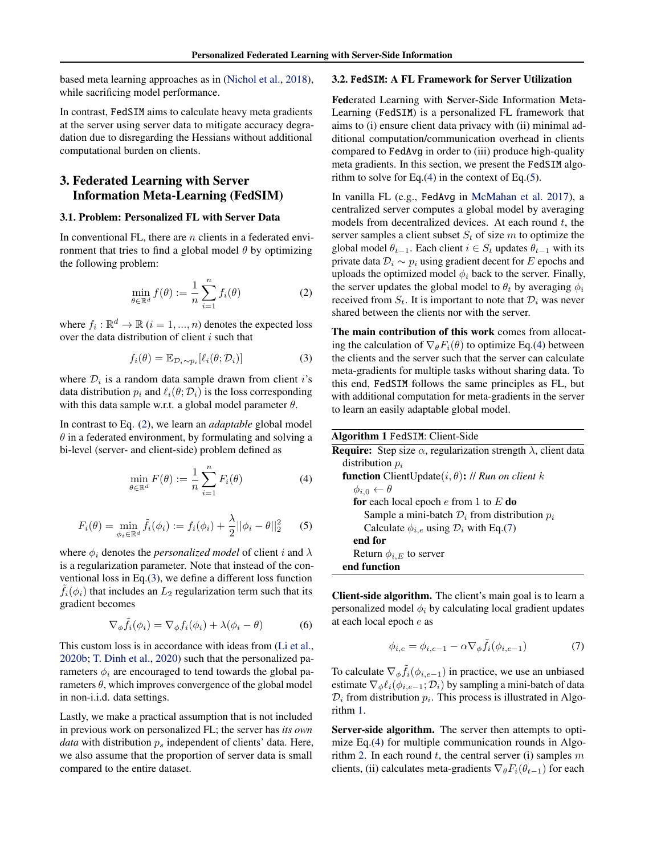based meta learning approaches as in [\(Nichol et al.,](#page-8-17) [2018\)](#page-8-17), while sacrificing model performance.

In contrast, FedSIM aims to calculate heavy meta gradients at the server using server data to mitigate accuracy degradation due to disregarding the Hessians without additional computational burden on clients.

## 3. Federated Learning with Server Information Meta-Learning (FedSIM)

### 3.1. Problem: Personalized FL with Server Data

In conventional FL, there are  $n$  clients in a federated environment that tries to find a global model  $\theta$  by optimizing the following problem:

<span id="page-2-0"></span>
$$
\min_{\theta \in \mathbb{R}^d} f(\theta) := \frac{1}{n} \sum_{i=1}^n f_i(\theta) \tag{2}
$$

where  $f_i: \mathbb{R}^d \to \mathbb{R}$   $(i = 1, ..., n)$  denotes the expected loss over the data distribution of client  $i$  such that

$$
f_i(\theta) = \mathbb{E}_{\mathcal{D}_i \sim p_i} [\ell_i(\theta; \mathcal{D}_i)] \tag{3}
$$

where  $\mathcal{D}_i$  is a random data sample drawn from client i's data distribution  $p_i$  and  $\ell_i(\theta; \mathcal{D}_i)$  is the loss corresponding with this data sample w.r.t. a global model parameter  $\theta$ .

In contrast to Eq. [\(2\)](#page-2-0), we learn an *adaptable* global model  $\theta$  in a federated environment, by formulating and solving a bi-level (server- and client-side) problem defined as

$$
\min_{\theta \in \mathbb{R}^d} F(\theta) := \frac{1}{n} \sum_{i=1}^n F_i(\theta) \tag{4}
$$

<span id="page-2-3"></span>
$$
F_i(\theta) = \min_{\phi_i \in \mathbb{R}^d} \tilde{f}_i(\phi_i) := f_i(\phi_i) + \frac{\lambda}{2} ||\phi_i - \theta||_2^2 \tag{5}
$$

where  $\phi_i$  denotes the *personalized model* of client i and  $\lambda$ is a regularization parameter. Note that instead of the conventional loss in Eq.[\(3\)](#page-2-1), we define a different loss function  $f_i(\phi_i)$  that includes an  $L_2$  regularization term such that its gradient becomes

<span id="page-2-6"></span>
$$
\nabla_{\phi}\tilde{f}_i(\phi_i) = \nabla_{\phi}f_i(\phi_i) + \lambda(\phi_i - \theta)
$$
 (6)

This custom loss is in accordance with ideas from [\(Li et al.,](#page-8-18) [2020b;](#page-8-18) [T. Dinh et al.,](#page-9-5) [2020\)](#page-9-5) such that the personalized parameters  $\phi_i$  are encouraged to tend towards the global parameters  $\theta$ , which improves convergence of the global model in non-i.i.d. data settings.

Lastly, we make a practical assumption that is not included in previous work on personalized FL; the server has *its own data* with distribution  $p_s$  independent of clients' data. Here, we also assume that the proportion of server data is small compared to the entire dataset.

### 3.2. FedSIM: A FL Framework for Server Utilization

Federated Learning with Server-Side Information Meta-Learning (FedSIM) is a personalized FL framework that aims to (i) ensure client data privacy with (ii) minimal additional computation/communication overhead in clients compared to FedAvg in order to (iii) produce high-quality meta gradients. In this section, we present the FedSIM algorithm to solve for Eq. $(4)$  in the context of Eq. $(5)$ .

In vanilla FL (e.g., FedAvg in [McMahan et al.](#page-8-19) [2017\)](#page-8-19), a centralized server computes a global model by averaging models from decentralized devices. At each round  $t$ , the server samples a client subset  $S_t$  of size m to optimize the global model  $\theta_{t-1}$ . Each client  $i \in S_t$  updates  $\theta_{t-1}$  with its private data  $\mathcal{D}_i \sim p_i$  using gradient decent for E epochs and uploads the optimized model  $\phi_i$  back to the server. Finally, the server updates the global model to  $\theta_t$  by averaging  $\phi_i$ received from  $S_t$ . It is important to note that  $\mathcal{D}_i$  was never shared between the clients nor with the server.

<span id="page-2-1"></span>The main contribution of this work comes from allocating the calculation of  $\nabla_{\theta} F_i(\theta)$  to optimize Eq.[\(4\)](#page-2-2) between the clients and the server such that the server can calculate meta-gradients for multiple tasks without sharing data. To this end, FedSIM follows the same principles as FL, but with additional computation for meta-gradients in the server to learn an easily adaptable global model.

<span id="page-2-5"></span><span id="page-2-2"></span>

| Algorithm 1 FedSIM: Client-Side                                                      |
|--------------------------------------------------------------------------------------|
| <b>Require:</b> Step size $\alpha$ , regularization strength $\lambda$ , client data |
| distribution $p_i$                                                                   |
| <b>function</b> ClientUpdate $(i, \theta)$ : // Run on client k                      |
| $\phi_{i,0} \leftarrow \theta$                                                       |
| for each local epoch $e$ from 1 to $E$ do                                            |
| Sample a mini-batch $\mathcal{D}_i$ from distribution $p_i$                          |
| Calculate $\phi_{i,e}$ using $\mathcal{D}_i$ with Eq.(7)                             |
| end for                                                                              |
| Return $\phi_{i,E}$ to server                                                        |
| end function                                                                         |

Client-side algorithm. The client's main goal is to learn a personalized model  $\phi_i$  by calculating local gradient updates at each local epoch e as

<span id="page-2-4"></span>
$$
\phi_{i,e} = \phi_{i,e-1} - \alpha \nabla_{\phi} \tilde{f}_i(\phi_{i,e-1}) \tag{7}
$$

To calculate  $\nabla_{\phi} \tilde{f}_i(\phi_{i,e-1})$  in practice, we use an unbiased estimate  $\nabla_{\phi} \ell_i(\phi_{i,e-1}; \mathcal{D}_i)$  by sampling a mini-batch of data  $\mathcal{D}_i$  from distribution  $p_i$ . This process is illustrated in Algorithm [1.](#page-2-5)

Server-side algorithm. The server then attempts to optimize Eq.[\(4\)](#page-2-2) for multiple communication rounds in Algo-rithm [2.](#page-3-0) In each round t, the central server (i) samples  $m$ clients, (ii) calculates meta-gradients  $\nabla_{\theta} F_i(\theta_{t-1})$  for each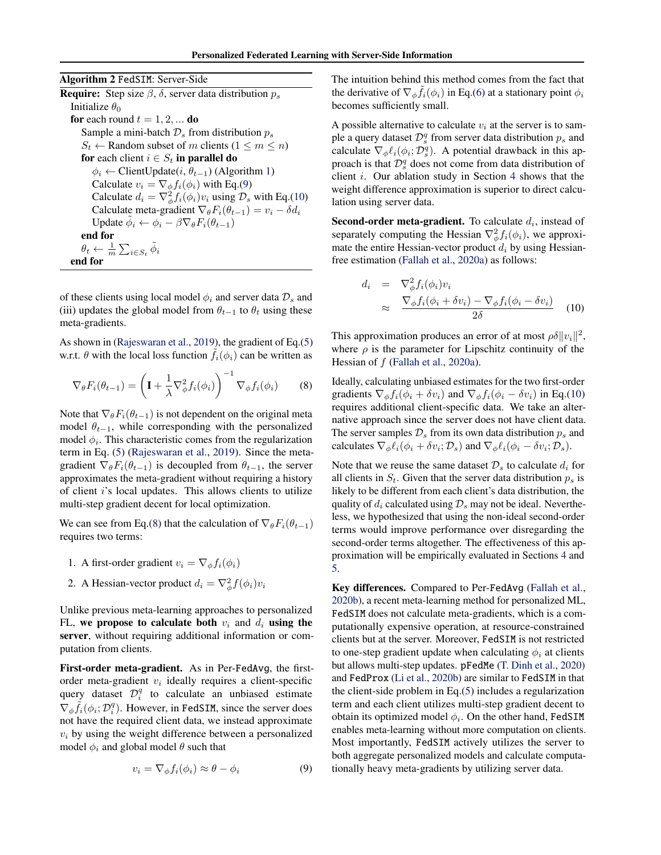<span id="page-3-0"></span>

| <b>Algorithm 2 FedSIM: Server-Side</b>                                               |
|--------------------------------------------------------------------------------------|
| <b>Require:</b> Step size $\beta$ , $\delta$ , server data distribution $p_s$        |
| Initialize $\theta_0$                                                                |
| <b>for</b> each round $t = 1, 2, $ <b>do</b>                                         |
| Sample a mini-batch $\mathcal{D}_s$ from distribution $p_s$                          |
| $S_t \leftarrow$ Random subset of m clients $(1 \le m \le n)$                        |
| for each client $i \in S_t$ in parallel do                                           |
| $\phi_i \leftarrow$ ClientUpdate(i, $\theta_{t-1}$ ) (Algorithm 1)                   |
| Calculate $v_i = \nabla_{\phi} f_i(\phi_i)$ with Eq.(9)                              |
| Calculate $d_i = \nabla_{\phi}^2 f_i(\phi_i) v_i$ using $\mathcal{D}_s$ with Eq.(10) |
| Calculate meta-gradient $\nabla_{\theta} F_i(\theta_{t-1}) = v_i - \delta d_i$       |
| Update $\phi_i \leftarrow \phi_i - \beta \nabla_{\theta} F_i(\theta_{t-1})$          |
| end for                                                                              |
| $\theta_t \leftarrow \frac{1}{m} \sum_{i \in S_t} \phi_i$                            |
| end for                                                                              |

of these clients using local model  $\phi_i$  and server data  $\mathcal{D}_s$  and (iii) updates the global model from  $\theta_{t-1}$  to  $\theta_t$  using these meta-gradients.

As shown in [\(Rajeswaran et al.,](#page-9-6) [2019\)](#page-9-6), the gradient of Eq.[\(5\)](#page-2-3) w.r.t.  $\theta$  with the local loss function  $f_i(\phi_i)$  can be written as

<span id="page-3-3"></span>
$$
\nabla_{\theta} F_i(\theta_{t-1}) = \left(\mathbf{I} + \frac{1}{\lambda} \nabla_{\phi}^2 f_i(\phi_i)\right)^{-1} \nabla_{\phi} f_i(\phi_i) \tag{8}
$$

Note that  $\nabla_{\theta} F_i(\theta_{t-1})$  is not dependent on the original meta model  $\theta_{t-1}$ , while corresponding with the personalized model  $\phi_i$ . This characteristic comes from the regularization term in Eq. [\(5\)](#page-2-3) [\(Rajeswaran et al.,](#page-9-6) [2019\)](#page-9-6). Since the metagradient  $\nabla_{\theta} F_i(\theta_{t-1})$  is decoupled from  $\theta_{t-1}$ , the server approximates the meta-gradient without requiring a history of client i's local updates. This allows clients to utilize multi-step gradient decent for local optimization.

We can see from Eq.[\(8\)](#page-3-3) that the calculation of  $\nabla_{\theta} F_i(\theta_{t-1})$ requires two terms:

- 1. A first-order gradient  $v_i = \nabla_{\phi} f_i(\phi_i)$
- 2. A Hessian-vector product  $d_i = \nabla_{\phi}^2 f(\phi_i) v_i$

Unlike previous meta-learning approaches to personalized FL, we propose to calculate both  $v_i$  and  $d_i$  using the server, without requiring additional information or computation from clients.

First-order meta-gradient. As in Per-FedAvg, the firstorder meta-gradient  $v_i$  ideally requires a client-specific query dataset  $\mathcal{D}_i^q$  to calculate an unbiased estimate  $\nabla_{\phi} \tilde{f}_i(\phi_i; \mathcal{D}_i^q)$ . However, in FedSIM, since the server does not have the required client data, we instead approximate  $v_i$  by using the weight difference between a personalized model  $\phi_i$  and global model  $\theta$  such that

<span id="page-3-1"></span>
$$
v_i = \nabla_{\phi} f_i(\phi_i) \approx \theta - \phi_i \tag{9}
$$

The intuition behind this method comes from the fact that the derivative of  $\nabla_{\phi} \tilde{f}_i(\phi_i)$  in Eq.[\(6\)](#page-2-6) at a stationary point  $\phi_i$ becomes sufficiently small.

A possible alternative to calculate  $v_i$  at the server is to sample a query dataset  $\mathcal{D}_s^q$  from server data distribution  $p_s$  and calculate  $\nabla_{\phi} \ell_i(\phi_i; \mathcal{D}_s^q)$ . A potential drawback in this approach is that  $\mathcal{D}_s^q$  does not come from data distribution of client i. Our ablation study in Section [4](#page-4-0) shows that the weight difference approximation is superior to direct calculation using server data.

**Second-order meta-gradient.** To calculate  $d_i$ , instead of separately computing the Hessian  $\nabla^2_\phi f_i(\phi_i)$ , we approximate the entire Hessian-vector product  $d_i$  by using Hessianfree estimation [\(Fallah et al.,](#page-8-20) [2020a\)](#page-8-20) as follows:

<span id="page-3-2"></span>
$$
d_i = \nabla_{\phi}^2 f_i(\phi_i) v_i
$$
  
\n
$$
\approx \frac{\nabla_{\phi} f_i(\phi_i + \delta v_i) - \nabla_{\phi} f_i(\phi_i - \delta v_i)}{2\delta}
$$
 (10)

This approximation produces an error of at most  $\rho \delta ||v_i||^2$ , where  $\rho$  is the parameter for Lipschitz continuity of the Hessian of f [\(Fallah et al.,](#page-8-20) [2020a\)](#page-8-20).

Ideally, calculating unbiased estimates for the two first-order gradients  $\nabla_{\phi} f_i(\phi_i + \delta v_i)$  and  $\nabla_{\phi} f_i(\phi_i - \delta v_i)$  in Eq.[\(10\)](#page-3-2) requires additional client-specific data. We take an alternative approach since the server does not have client data. The server samples  $\mathcal{D}_s$  from its own data distribution  $p_s$  and calculates  $\nabla_{\phi} \ell_i(\phi_i + \delta v_i; \mathcal{D}_s)$  and  $\nabla_{\phi} \ell_i(\phi_i - \delta v_i; \mathcal{D}_s)$ .

Note that we reuse the same dataset  $\mathcal{D}_s$  to calculate  $d_i$  for all clients in  $S_t$ . Given that the server data distribution  $p_s$  is likely to be different from each client's data distribution, the quality of  $d_i$  calculated using  $\mathcal{D}_s$  may not be ideal. Nevertheless, we hypothesized that using the non-ideal second-order terms would improve performance over disregarding the second-order terms altogether. The effectiveness of this approximation will be empirically evaluated in Sections [4](#page-4-0) and [5.](#page-6-0)

Key differences. Compared to Per-FedAvg [\(Fallah et al.,](#page-8-1) [2020b\)](#page-8-1), a recent meta-learning method for personalized ML, FedSIM does not calculate meta-gradients, which is a computationally expensive operation, at resource-constrained clients but at the server. Moreover, FedSIM is not restricted to one-step gradient update when calculating  $\phi_i$  at clients but allows multi-step updates. pFedMe [\(T. Dinh et al.,](#page-9-5) [2020\)](#page-9-5) and FedProx [\(Li et al.,](#page-8-18) [2020b\)](#page-8-18) are similar to FedSIM in that the client-side problem in Eq.[\(5\)](#page-2-3) includes a regularization term and each client utilizes multi-step gradient decent to obtain its optimized model  $\phi_i$ . On the other hand, FedSIM enables meta-learning without more computation on clients. Most importantly, FedSIM actively utilizes the server to both aggregate personalized models and calculate computationally heavy meta-gradients by utilizing server data.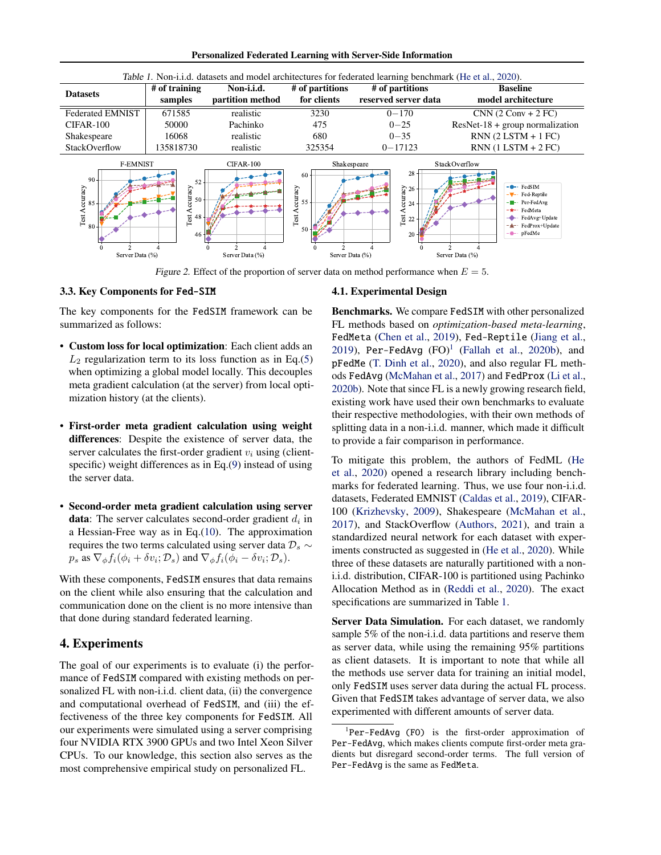Personalized Federated Learning with Server-Side Information

<span id="page-4-2"></span>

Figure 2. Effect of the proportion of server data on method performance when  $E = 5$ .

#### 3.3. Key Components for Fed-SIM

The key components for the FedSIM framework can be summarized as follows:

- Custom loss for local optimization: Each client adds an  $L_2$  regularization term to its loss function as in Eq.[\(5\)](#page-2-3) when optimizing a global model locally. This decouples meta gradient calculation (at the server) from local optimization history (at the clients).
- First-order meta gradient calculation using weight differences: Despite the existence of server data, the server calculates the first-order gradient  $v_i$  using (clientspecific) weight differences as in Eq.[\(9\)](#page-3-1) instead of using the server data.
- Second-order meta gradient calculation using server **data**: The server calculates second-order gradient  $d_i$  in a Hessian-Free way as in Eq.[\(10\)](#page-3-2). The approximation requires the two terms calculated using server data  $\mathcal{D}_s \sim$  $p_s$  as  $\nabla_{\phi} f_i(\phi_i + \delta v_i; \mathcal{D}_s)$  and  $\nabla_{\phi} f_i(\phi_i - \delta v_i; \mathcal{D}_s)$ .

With these components, FedSIM ensures that data remains on the client while also ensuring that the calculation and communication done on the client is no more intensive than that done during standard federated learning.

## <span id="page-4-0"></span>4. Experiments

The goal of our experiments is to evaluate (i) the performance of FedSIM compared with existing methods on personalized FL with non-i.i.d. client data, (ii) the convergence and computational overhead of FedSIM, and (iii) the effectiveness of the three key components for FedSIM. All our experiments were simulated using a server comprising four NVIDIA RTX 3900 GPUs and two Intel Xeon Silver CPUs. To our knowledge, this section also serves as the most comprehensive empirical study on personalized FL.

### <span id="page-4-4"></span><span id="page-4-3"></span>4.1. Experimental Design

Benchmarks. We compare FedSIM with other personalized FL methods based on *optimization-based meta-learning*, FedMeta [\(Chen et al.,](#page-8-2) [2019\)](#page-8-2), Fed-Reptile [\(Jiang et al.,](#page-8-16) [2019\)](#page-8-16),  $Per-FedAvg (FO)^1$  $Per-FedAvg (FO)^1$  [\(Fallah et al.,](#page-8-1) [2020b\)](#page-8-1), and pFedMe [\(T. Dinh et al.,](#page-9-5) [2020\)](#page-9-5), and also regular FL methods FedAvg [\(McMahan et al.,](#page-8-19) [2017\)](#page-8-19) and FedProx [\(Li et al.,](#page-8-18) [2020b\)](#page-8-18). Note that since FL is a newly growing research field, existing work have used their own benchmarks to evaluate their respective methodologies, with their own methods of splitting data in a non-i.i.d. manner, which made it difficult to provide a fair comparison in performance.

To mitigate this problem, the authors of FedML [\(He](#page-8-3) [et al.,](#page-8-3) [2020\)](#page-8-3) opened a research library including benchmarks for federated learning. Thus, we use four non-i.i.d. datasets, Federated EMNIST [\(Caldas et al.,](#page-8-21) [2019\)](#page-8-21), CIFAR-100 [\(Krizhevsky,](#page-8-22) [2009\)](#page-8-22), Shakespeare [\(McMahan et al.,](#page-8-19) [2017\)](#page-8-19), and StackOverflow [\(Authors,](#page-8-23) [2021\)](#page-8-23), and train a standardized neural network for each dataset with experiments constructed as suggested in [\(He et al.,](#page-8-3) [2020\)](#page-8-3). While three of these datasets are naturally partitioned with a noni.i.d. distribution, CIFAR-100 is partitioned using Pachinko Allocation Method as in [\(Reddi et al.,](#page-9-7) [2020\)](#page-9-7). The exact specifications are summarized in Table [1.](#page-4-2)

Server Data Simulation. For each dataset, we randomly sample 5% of the non-i.i.d. data partitions and reserve them as server data, while using the remaining 95% partitions as client datasets. It is important to note that while all the methods use server data for training an initial model, only FedSIM uses server data during the actual FL process. Given that FedSIM takes advantage of server data, we also experimented with different amounts of server data.

<span id="page-4-1"></span><sup>&</sup>lt;sup>1</sup>Per-FedAvg (F0) is the first-order approximation of Per-FedAvg, which makes clients compute first-order meta gradients but disregard second-order terms. The full version of Per-FedAvg is the same as FedMeta.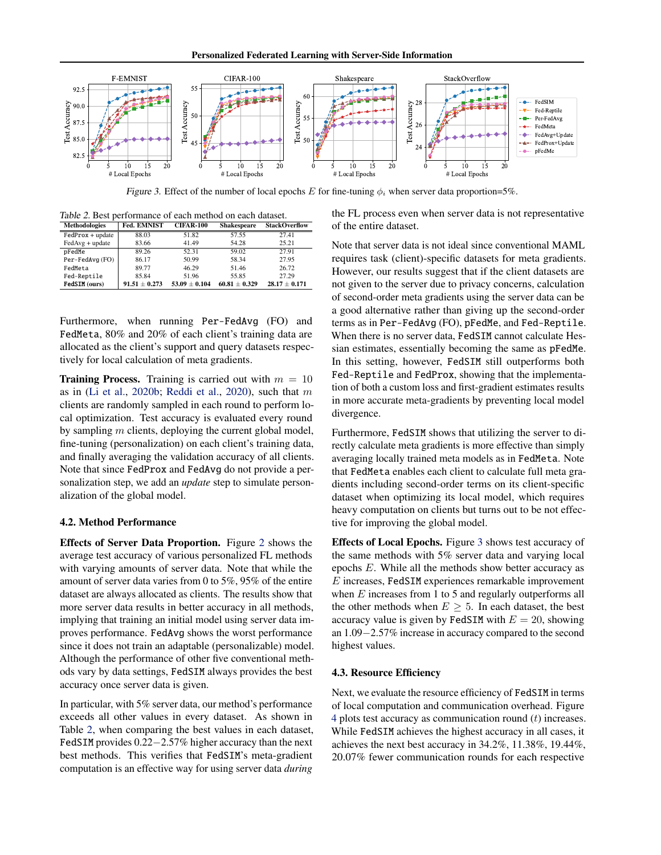

Figure 3. Effect of the number of local epochs E for fine-tuning  $\phi_i$  when server data proportion=5%.

<span id="page-5-0"></span>Table 2. Best performance of each method on each dataset. Methodologies Fed. EMNIST CIFAR-100 Shakespeare StackOverflow

| менючоючего        | гса, евичтот    | UIFAN-100       | энаксэрсагс     | эшлэгсгий         |
|--------------------|-----------------|-----------------|-----------------|-------------------|
| $FedProx + update$ | 88.03           | 51.82           | 57.55           | 27.41             |
| $FedAvg + update$  | 83.66           | 41.49           | 54.28           | 25.21             |
| pFedMe             | 89.26           | 52.31           | 59.02           | 27.91             |
| Per-FedAvg (FO)    | 86.17           | 50.99           | 58.34           | 27.95             |
| FedMeta            | 89.77           | 46.29           | 51.46           | 26.72             |
| Fed-Reptile        | 85.84           | 51.96           | 55.85           | 27.29             |
| FedSIM (ours)      | $91.51 + 0.273$ | $53.09 + 0.104$ | $60.81 + 0.329$ | $28.17 \pm 0.171$ |

Furthermore, when running Per-FedAvg (FO) and FedMeta, 80% and 20% of each client's training data are allocated as the client's support and query datasets respectively for local calculation of meta gradients.

**Training Process.** Training is carried out with  $m = 10$ as in [\(Li et al.,](#page-8-18) [2020b;](#page-8-18) [Reddi et al.,](#page-9-7) [2020\)](#page-9-7), such that  $m$ clients are randomly sampled in each round to perform local optimization. Test accuracy is evaluated every round by sampling  $m$  clients, deploying the current global model, fine-tuning (personalization) on each client's training data, and finally averaging the validation accuracy of all clients. Note that since FedProx and FedAvg do not provide a personalization step, we add an *update* step to simulate personalization of the global model.

## 4.2. Method Performance

Effects of Server Data Proportion. Figure [2](#page-4-3) shows the average test accuracy of various personalized FL methods with varying amounts of server data. Note that while the amount of server data varies from 0 to 5%, 95% of the entire dataset are always allocated as clients. The results show that more server data results in better accuracy in all methods, implying that training an initial model using server data improves performance. FedAvg shows the worst performance since it does not train an adaptable (personalizable) model. Although the performance of other five conventional methods vary by data settings, FedSIM always provides the best accuracy once server data is given.

In particular, with 5% server data, our method's performance exceeds all other values in every dataset. As shown in Table [2,](#page-5-0) when comparing the best values in each dataset, FedSIM provides 0.22−2.57% higher accuracy than the next best methods. This verifies that FedSIM's meta-gradient computation is an effective way for using server data *during*

<span id="page-5-1"></span>the FL process even when server data is not representative of the entire dataset.

Note that server data is not ideal since conventional MAML requires task (client)-specific datasets for meta gradients. However, our results suggest that if the client datasets are not given to the server due to privacy concerns, calculation of second-order meta gradients using the server data can be a good alternative rather than giving up the second-order terms as in Per-FedAvg (FO), pFedMe, and Fed-Reptile. When there is no server data, FedSIM cannot calculate Hessian estimates, essentially becoming the same as pFedMe. In this setting, however, FedSIM still outperforms both Fed-Reptile and FedProx, showing that the implementation of both a custom loss and first-gradient estimates results in more accurate meta-gradients by preventing local model divergence.

Furthermore, FedSIM shows that utilizing the server to directly calculate meta gradients is more effective than simply averaging locally trained meta models as in FedMeta. Note that FedMeta enables each client to calculate full meta gradients including second-order terms on its client-specific dataset when optimizing its local model, which requires heavy computation on clients but turns out to be not effective for improving the global model.

Effects of Local Epochs. Figure [3](#page-5-1) shows test accuracy of the same methods with 5% server data and varying local epochs E. While all the methods show better accuracy as  $E$  increases, FedSIM experiences remarkable improvement when  $E$  increases from 1 to 5 and regularly outperforms all the other methods when  $E \geq 5$ . In each dataset, the best accuracy value is given by FedSIM with  $E = 20$ , showing an 1.09−2.57% increase in accuracy compared to the second highest values.

#### 4.3. Resource Efficiency

Next, we evaluate the resource efficiency of FedSIM in terms of local computation and communication overhead. Figure [4](#page-6-1) plots test accuracy as communication round  $(t)$  increases. While FedSIM achieves the highest accuracy in all cases, it achieves the next best accuracy in 34.2%, 11.38%, 19.44%, 20.07% fewer communication rounds for each respective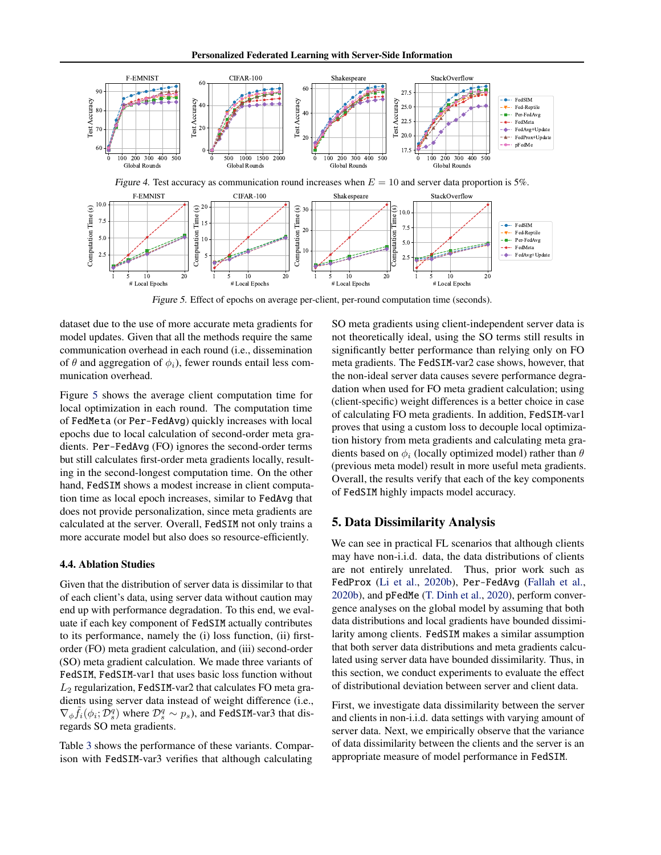Personalized Federated Learning with Server-Side Information



Figure 5. Effect of epochs on average per-client, per-round computation time (seconds).

dataset due to the use of more accurate meta gradients for model updates. Given that all the methods require the same communication overhead in each round (i.e., dissemination of  $\theta$  and aggregation of  $\phi_i$ ), fewer rounds entail less communication overhead.

Figure [5](#page-6-2) shows the average client computation time for local optimization in each round. The computation time of FedMeta (or Per-FedAvg) quickly increases with local epochs due to local calculation of second-order meta gradients. Per-FedAvg (FO) ignores the second-order terms but still calculates first-order meta gradients locally, resulting in the second-longest computation time. On the other hand, FedSIM shows a modest increase in client computation time as local epoch increases, similar to FedAvg that does not provide personalization, since meta gradients are calculated at the server. Overall, FedSIM not only trains a more accurate model but also does so resource-efficiently.

### 4.4. Ablation Studies

Given that the distribution of server data is dissimilar to that of each client's data, using server data without caution may end up with performance degradation. To this end, we evaluate if each key component of FedSIM actually contributes to its performance, namely the (i) loss function, (ii) firstorder (FO) meta gradient calculation, and (iii) second-order (SO) meta gradient calculation. We made three variants of FedSIM, FedSIM-var1 that uses basic loss function without  $L_2$  regularization, FedSIM-var2 that calculates FO meta gradients using server data instead of weight difference (i.e.,  $\nabla_{\phi} \tilde{f}_i(\phi_i; \mathcal{D}_s^q)$  where  $\mathcal{D}_s^q \sim p_s$ ), and FedSIM-var3 that disregards SO meta gradients.

Table [3](#page-7-0) shows the performance of these variants. Comparison with FedSIM-var3 verifies that although calculating

<span id="page-6-2"></span><span id="page-6-1"></span>SO meta gradients using client-independent server data is not theoretically ideal, using the SO terms still results in significantly better performance than relying only on FO meta gradients. The FedSIM-var2 case shows, however, that the non-ideal server data causes severe performance degradation when used for FO meta gradient calculation; using (client-specific) weight differences is a better choice in case of calculating FO meta gradients. In addition, FedSIM-var1 proves that using a custom loss to decouple local optimization history from meta gradients and calculating meta gradients based on  $\phi_i$  (locally optimized model) rather than  $\theta$ (previous meta model) result in more useful meta gradients. Overall, the results verify that each of the key components of FedSIM highly impacts model accuracy.

## <span id="page-6-0"></span>5. Data Dissimilarity Analysis

We can see in practical FL scenarios that although clients may have non-i.i.d. data, the data distributions of clients are not entirely unrelated. Thus, prior work such as FedProx [\(Li et al.,](#page-8-18) [2020b\)](#page-8-18), Per-FedAvg [\(Fallah et al.,](#page-8-1) [2020b\)](#page-8-1), and pFedMe [\(T. Dinh et al.,](#page-9-5) [2020\)](#page-9-5), perform convergence analyses on the global model by assuming that both data distributions and local gradients have bounded dissimilarity among clients. FedSIM makes a similar assumption that both server data distributions and meta gradients calculated using server data have bounded dissimilarity. Thus, in this section, we conduct experiments to evaluate the effect of distributional deviation between server and client data.

First, we investigate data dissimilarity between the server and clients in non-i.i.d. data settings with varying amount of server data. Next, we empirically observe that the variance of data dissimilarity between the clients and the server is an appropriate measure of model performance in FedSIM.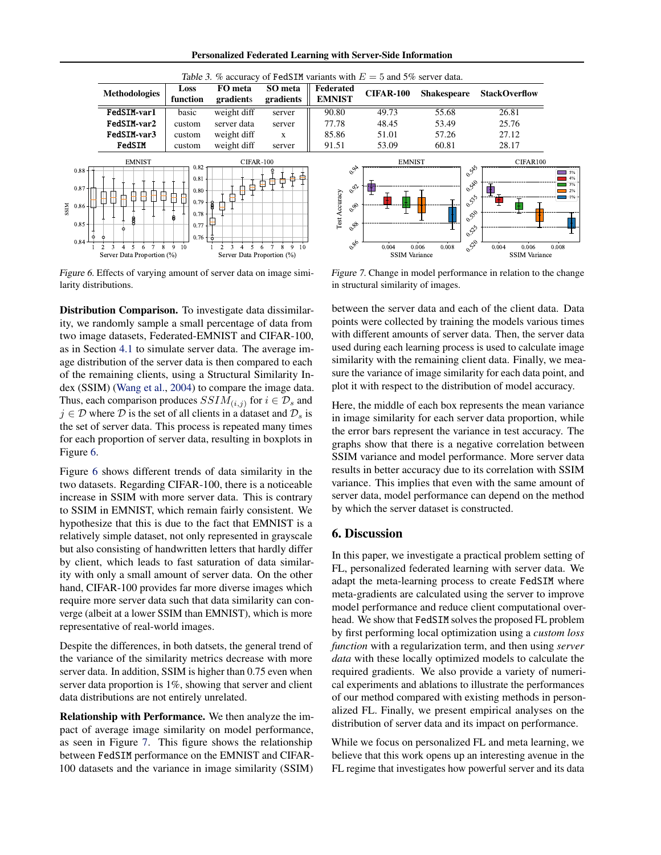Personalized Federated Learning with Server-Side Information

<span id="page-7-0"></span>

<span id="page-7-1"></span>Figure 6. Effects of varying amount of server data on image similarity distributions.

Distribution Comparison. To investigate data dissimilarity, we randomly sample a small percentage of data from two image datasets, Federated-EMNIST and CIFAR-100, as in Section [4.1](#page-4-4) to simulate server data. The average image distribution of the server data is then compared to each of the remaining clients, using a Structural Similarity Index (SSIM) [\(Wang et al.,](#page-9-8) [2004\)](#page-9-8) to compare the image data. Thus, each comparison produces  $SSIM_{(i,j)}$  for  $i \in \mathcal{D}_s$  and  $j \in \mathcal{D}$  where  $\mathcal{D}$  is the set of all clients in a dataset and  $\mathcal{D}_s$  is the set of server data. This process is repeated many times for each proportion of server data, resulting in boxplots in Figure [6.](#page-7-1)

Figure [6](#page-7-1) shows different trends of data similarity in the two datasets. Regarding CIFAR-100, there is a noticeable increase in SSIM with more server data. This is contrary to SSIM in EMNIST, which remain fairly consistent. We hypothesize that this is due to the fact that EMNIST is a relatively simple dataset, not only represented in grayscale but also consisting of handwritten letters that hardly differ by client, which leads to fast saturation of data similarity with only a small amount of server data. On the other hand, CIFAR-100 provides far more diverse images which require more server data such that data similarity can converge (albeit at a lower SSIM than EMNIST), which is more representative of real-world images.

Despite the differences, in both datsets, the general trend of the variance of the similarity metrics decrease with more server data. In addition, SSIM is higher than 0.75 even when server data proportion is 1%, showing that server and client data distributions are not entirely unrelated.

Relationship with Performance. We then analyze the impact of average image similarity on model performance, as seen in Figure [7.](#page-7-2) This figure shows the relationship between FedSIM performance on the EMNIST and CIFAR-100 datasets and the variance in image similarity (SSIM)

<span id="page-7-2"></span>Figure 7. Change in model performance in relation to the change in structural similarity of images.

between the server data and each of the client data. Data points were collected by training the models various times with different amounts of server data. Then, the server data used during each learning process is used to calculate image similarity with the remaining client data. Finally, we measure the variance of image similarity for each data point, and plot it with respect to the distribution of model accuracy.

Here, the middle of each box represents the mean variance in image similarity for each server data proportion, while the error bars represent the variance in test accuracy. The graphs show that there is a negative correlation between SSIM variance and model performance. More server data results in better accuracy due to its correlation with SSIM variance. This implies that even with the same amount of server data, model performance can depend on the method by which the server dataset is constructed.

### 6. Discussion

In this paper, we investigate a practical problem setting of FL, personalized federated learning with server data. We adapt the meta-learning process to create FedSIM where meta-gradients are calculated using the server to improve model performance and reduce client computational overhead. We show that FedSIM solves the proposed FL problem by first performing local optimization using a *custom loss function* with a regularization term, and then using *server data* with these locally optimized models to calculate the required gradients. We also provide a variety of numerical experiments and ablations to illustrate the performances of our method compared with existing methods in personalized FL. Finally, we present empirical analyses on the distribution of server data and its impact on performance.

While we focus on personalized FL and meta learning, we believe that this work opens up an interesting avenue in the FL regime that investigates how powerful server and its data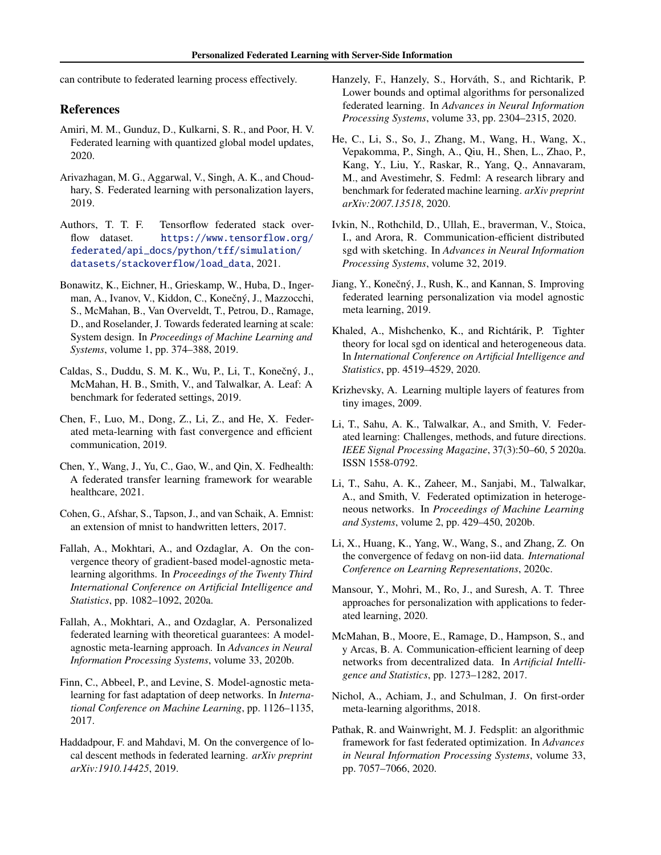can contribute to federated learning process effectively.

### References

- <span id="page-8-7"></span>Amiri, M. M., Gunduz, D., Kulkarni, S. R., and Poor, H. V. Federated learning with quantized global model updates, 2020.
- <span id="page-8-14"></span>Arivazhagan, M. G., Aggarwal, V., Singh, A. K., and Choudhary, S. Federated learning with personalization layers, 2019.
- <span id="page-8-23"></span>Authors, T. T. F. Tensorflow federated stack overflow dataset. [https://www.tensorflow.org/](https://www.tensorflow.org/federated/api_docs/python/tff/simulation/datasets/stackoverflow/load_data) [federated/api\\_docs/python/tff/simulation/](https://www.tensorflow.org/federated/api_docs/python/tff/simulation/datasets/stackoverflow/load_data) [datasets/stackoverflow/load\\_data](https://www.tensorflow.org/federated/api_docs/python/tff/simulation/datasets/stackoverflow/load_data), 2021.
- <span id="page-8-5"></span>Bonawitz, K., Eichner, H., Grieskamp, W., Huba, D., Ingerman, A., Ivanov, V., Kiddon, C., Konečný, J., Mazzocchi, S., McMahan, B., Van Overveldt, T., Petrou, D., Ramage, D., and Roselander, J. Towards federated learning at scale: System design. In *Proceedings of Machine Learning and Systems*, volume 1, pp. 374–388, 2019.
- <span id="page-8-21"></span>Caldas, S., Duddu, S. M. K., Wu, P., Li, T., Konečný, J., McMahan, H. B., Smith, V., and Talwalkar, A. Leaf: A benchmark for federated settings, 2019.
- <span id="page-8-2"></span>Chen, F., Luo, M., Dong, Z., Li, Z., and He, X. Federated meta-learning with fast convergence and efficient communication, 2019.
- <span id="page-8-15"></span>Chen, Y., Wang, J., Yu, C., Gao, W., and Qin, X. Fedhealth: A federated transfer learning framework for wearable healthcare, 2021.
- <span id="page-8-24"></span>Cohen, G., Afshar, S., Tapson, J., and van Schaik, A. Emnist: an extension of mnist to handwritten letters, 2017.
- <span id="page-8-20"></span>Fallah, A., Mokhtari, A., and Ozdaglar, A. On the convergence theory of gradient-based model-agnostic metalearning algorithms. In *Proceedings of the Twenty Third International Conference on Artificial Intelligence and Statistics*, pp. 1082–1092, 2020a.
- <span id="page-8-1"></span>Fallah, A., Mokhtari, A., and Ozdaglar, A. Personalized federated learning with theoretical guarantees: A modelagnostic meta-learning approach. In *Advances in Neural Information Processing Systems*, volume 33, 2020b.
- <span id="page-8-0"></span>Finn, C., Abbeel, P., and Levine, S. Model-agnostic metalearning for fast adaptation of deep networks. In *International Conference on Machine Learning*, pp. 1126–1135, 2017.
- <span id="page-8-10"></span>Haddadpour, F. and Mahdavi, M. On the convergence of local descent methods in federated learning. *arXiv preprint arXiv:1910.14425*, 2019.
- <span id="page-8-6"></span>Hanzely, F., Hanzely, S., Horváth, S., and Richtarik, P. Lower bounds and optimal algorithms for personalized federated learning. In *Advances in Neural Information Processing Systems*, volume 33, pp. 2304–2315, 2020.
- <span id="page-8-3"></span>He, C., Li, S., So, J., Zhang, M., Wang, H., Wang, X., Vepakomma, P., Singh, A., Qiu, H., Shen, L., Zhao, P., Kang, Y., Liu, Y., Raskar, R., Yang, Q., Annavaram, M., and Avestimehr, S. Fedml: A research library and benchmark for federated machine learning. *arXiv preprint arXiv:2007.13518*, 2020.
- <span id="page-8-8"></span>Ivkin, N., Rothchild, D., Ullah, E., braverman, V., Stoica, I., and Arora, R. Communication-efficient distributed sgd with sketching. In *Advances in Neural Information Processing Systems*, volume 32, 2019.
- <span id="page-8-16"></span>Jiang, Y., Konečný, J., Rush, K., and Kannan, S. Improving federated learning personalization via model agnostic meta learning, 2019.
- <span id="page-8-11"></span>Khaled, A., Mishchenko, K., and Richtárik, P. Tighter theory for local sgd on identical and heterogeneous data. In *International Conference on Artificial Intelligence and Statistics*, pp. 4519–4529, 2020.
- <span id="page-8-22"></span>Krizhevsky, A. Learning multiple layers of features from tiny images, 2009.
- <span id="page-8-4"></span>Li, T., Sahu, A. K., Talwalkar, A., and Smith, V. Federated learning: Challenges, methods, and future directions. *IEEE Signal Processing Magazine*, 37(3):50–60, 5 2020a. ISSN 1558-0792.
- <span id="page-8-18"></span>Li, T., Sahu, A. K., Zaheer, M., Sanjabi, M., Talwalkar, A., and Smith, V. Federated optimization in heterogeneous networks. In *Proceedings of Machine Learning and Systems*, volume 2, pp. 429–450, 2020b.
- <span id="page-8-12"></span>Li, X., Huang, K., Yang, W., Wang, S., and Zhang, Z. On the convergence of fedavg on non-iid data. *International Conference on Learning Representations*, 2020c.
- <span id="page-8-13"></span>Mansour, Y., Mohri, M., Ro, J., and Suresh, A. T. Three approaches for personalization with applications to federated learning, 2020.
- <span id="page-8-19"></span>McMahan, B., Moore, E., Ramage, D., Hampson, S., and y Arcas, B. A. Communication-efficient learning of deep networks from decentralized data. In *Artificial Intelligence and Statistics*, pp. 1273–1282, 2017.
- <span id="page-8-17"></span>Nichol, A., Achiam, J., and Schulman, J. On first-order meta-learning algorithms, 2018.
- <span id="page-8-9"></span>Pathak, R. and Wainwright, M. J. Fedsplit: an algorithmic framework for fast federated optimization. In *Advances in Neural Information Processing Systems*, volume 33, pp. 7057–7066, 2020.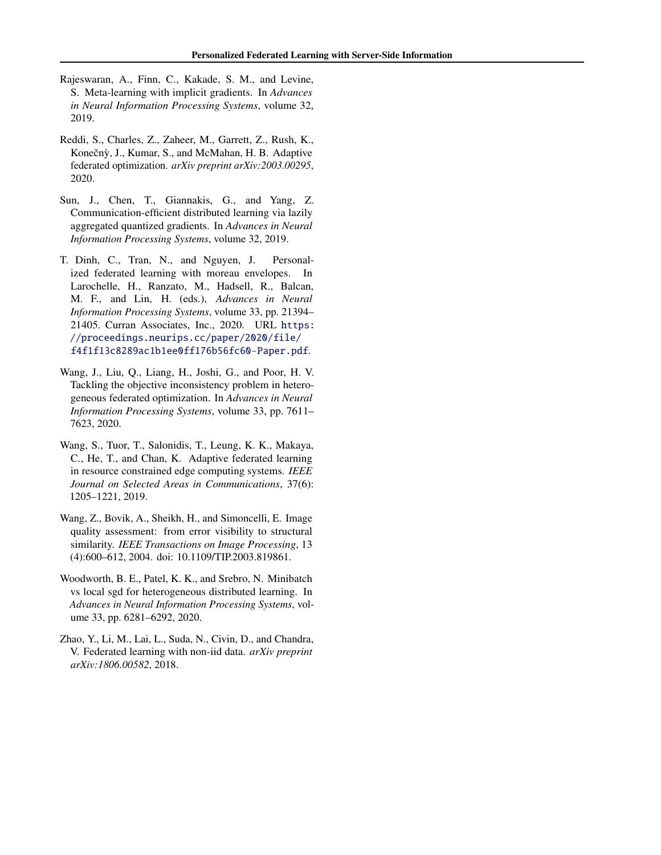- <span id="page-9-6"></span>Rajeswaran, A., Finn, C., Kakade, S. M., and Levine, S. Meta-learning with implicit gradients. In *Advances in Neural Information Processing Systems*, volume 32, 2019.
- <span id="page-9-7"></span>Reddi, S., Charles, Z., Zaheer, M., Garrett, Z., Rush, K., Konečnỳ, J., Kumar, S., and McMahan, H. B. Adaptive federated optimization. *arXiv preprint arXiv:2003.00295*, 2020.
- <span id="page-9-0"></span>Sun, J., Chen, T., Giannakis, G., and Yang, Z. Communication-efficient distributed learning via lazily aggregated quantized gradients. In *Advances in Neural Information Processing Systems*, volume 32, 2019.
- <span id="page-9-5"></span>T. Dinh, C., Tran, N., and Nguyen, J. Personalized federated learning with moreau envelopes. In Larochelle, H., Ranzato, M., Hadsell, R., Balcan, M. F., and Lin, H. (eds.), *Advances in Neural Information Processing Systems*, volume 33, pp. 21394– 21405. Curran Associates, Inc., 2020. URL [https:](https://proceedings.neurips.cc/paper/2020/file/f4f1f13c8289ac1b1ee0ff176b56fc60-Paper.pdf) [//proceedings.neurips.cc/paper/2020/file/](https://proceedings.neurips.cc/paper/2020/file/f4f1f13c8289ac1b1ee0ff176b56fc60-Paper.pdf) [f4f1f13c8289ac1b1ee0ff176b56fc60-Paper.pdf](https://proceedings.neurips.cc/paper/2020/file/f4f1f13c8289ac1b1ee0ff176b56fc60-Paper.pdf).
- <span id="page-9-3"></span>Wang, J., Liu, Q., Liang, H., Joshi, G., and Poor, H. V. Tackling the objective inconsistency problem in heterogeneous federated optimization. In *Advances in Neural Information Processing Systems*, volume 33, pp. 7611– 7623, 2020.
- <span id="page-9-1"></span>Wang, S., Tuor, T., Salonidis, T., Leung, K. K., Makaya, C., He, T., and Chan, K. Adaptive federated learning in resource constrained edge computing systems. *IEEE Journal on Selected Areas in Communications*, 37(6): 1205–1221, 2019.
- <span id="page-9-8"></span>Wang, Z., Bovik, A., Sheikh, H., and Simoncelli, E. Image quality assessment: from error visibility to structural similarity. *IEEE Transactions on Image Processing*, 13 (4):600–612, 2004. doi: 10.1109/TIP.2003.819861.
- <span id="page-9-4"></span>Woodworth, B. E., Patel, K. K., and Srebro, N. Minibatch vs local sgd for heterogeneous distributed learning. In *Advances in Neural Information Processing Systems*, volume 33, pp. 6281–6292, 2020.
- <span id="page-9-2"></span>Zhao, Y., Li, M., Lai, L., Suda, N., Civin, D., and Chandra, V. Federated learning with non-iid data. *arXiv preprint arXiv:1806.00582*, 2018.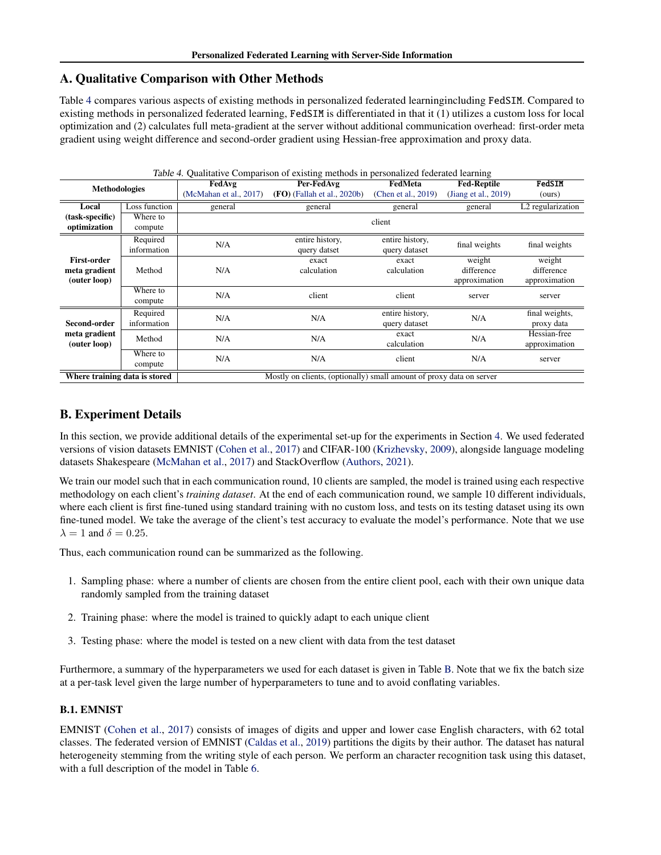## A. Qualitative Comparison with Other Methods

Table [4](#page-10-0) compares various aspects of existing methods in personalized federated learningincluding FedSIM. Compared to existing methods in personalized federated learning, FedSIM is differentiated in that it (1) utilizes a custom loss for local optimization and (2) calculates full meta-gradient at the server without additional communication overhead: first-order meta gradient using weight difference and second-order gradient using Hessian-free approximation and proxy data.

<span id="page-10-0"></span>

| Table 4. Qualitative Comparison of existing methods in personalized federated learning |               |                                                                      |                               |                     |                      |                               |                |
|----------------------------------------------------------------------------------------|---------------|----------------------------------------------------------------------|-------------------------------|---------------------|----------------------|-------------------------------|----------------|
| <b>Methodologies</b>                                                                   |               | FedAvg                                                               | Per-FedAvg                    | FedMeta             | <b>Fed-Reptile</b>   | FedSIM                        |                |
|                                                                                        |               | (McMahan et al., 2017)                                               | $(FO)$ (Fallah et al., 2020b) | (Chen et al., 2019) | (Jiang et al., 2019) | (ours)                        |                |
| Local                                                                                  | Loss function | general                                                              | general                       | general             | general              | L <sub>2</sub> regularization |                |
| (task-specific)                                                                        | Where to      |                                                                      |                               | client              |                      |                               |                |
| optimization                                                                           | compute       |                                                                      |                               |                     |                      |                               |                |
|                                                                                        | Required      | N/A                                                                  | entire history,               | entire history,     |                      | final weights                 |                |
|                                                                                        | information   |                                                                      | query datset                  | query dataset       | final weights        |                               |                |
| <b>First-order</b>                                                                     |               |                                                                      | exact                         | exact               | weight               | weight                        |                |
| meta gradient                                                                          | Method        | N/A                                                                  | calculation                   | calculation         | difference           | difference                    |                |
| (outer loop)                                                                           |               |                                                                      | approximation                 |                     | approximation        |                               |                |
|                                                                                        | Where to      | N/A<br>client                                                        |                               | client              | server               | server                        |                |
|                                                                                        | compute       |                                                                      |                               |                     |                      |                               |                |
|                                                                                        | Required      | N/A                                                                  |                               | N/A                 | entire history,      | N/A                           | final weights, |
| Second-order                                                                           | information   |                                                                      |                               | query dataset       |                      | proxy data                    |                |
| meta gradient                                                                          | Method        | N/A                                                                  | N/A                           | exact               | N/A                  | Hessian-free                  |                |
| (outer loop)                                                                           |               |                                                                      |                               | calculation         |                      | approximation                 |                |
|                                                                                        | Where to      | N/A                                                                  | N/A                           | client              | N/A                  | server                        |                |
|                                                                                        | compute       |                                                                      |                               |                     |                      |                               |                |
| Where training data is stored                                                          |               | Mostly on clients, (optionally) small amount of proxy data on server |                               |                     |                      |                               |                |

## B. Experiment Details

In this section, we provide additional details of the experimental set-up for the experiments in Section [4.](#page-4-0) We used federated versions of vision datasets EMNIST [\(Cohen et al.,](#page-8-24) [2017\)](#page-8-24) and CIFAR-100 [\(Krizhevsky,](#page-8-22) [2009\)](#page-8-22), alongside language modeling datasets Shakespeare [\(McMahan et al.,](#page-8-19) [2017\)](#page-8-19) and StackOverflow [\(Authors,](#page-8-23) [2021\)](#page-8-23).

We train our model such that in each communication round, 10 clients are sampled, the model is trained using each respective methodology on each client's *training dataset*. At the end of each communication round, we sample 10 different individuals, where each client is first fine-tuned using standard training with no custom loss, and tests on its testing dataset using its own fine-tuned model. We take the average of the client's test accuracy to evaluate the model's performance. Note that we use  $\lambda = 1$  and  $\delta = 0.25$ .

Thus, each communication round can be summarized as the following.

- 1. Sampling phase: where a number of clients are chosen from the entire client pool, each with their own unique data randomly sampled from the training dataset
- 2. Training phase: where the model is trained to quickly adapt to each unique client
- <span id="page-10-1"></span>3. Testing phase: where the model is tested on a new client with data from the test dataset

Furthermore, a summary of the hyperparameters we used for each dataset is given in Table [B.](#page-10-1) Note that we fix the batch size at a per-task level given the large number of hyperparameters to tune and to avoid conflating variables.

## B.1. EMNIST

EMNIST [\(Cohen et al.,](#page-8-24) [2017\)](#page-8-24) consists of images of digits and upper and lower case English characters, with 62 total classes. The federated version of EMNIST [\(Caldas et al.,](#page-8-21) [2019\)](#page-8-21) partitions the digits by their author. The dataset has natural heterogeneity stemming from the writing style of each person. We perform an character recognition task using this dataset, with a full description of the model in Table [6.](#page-11-0)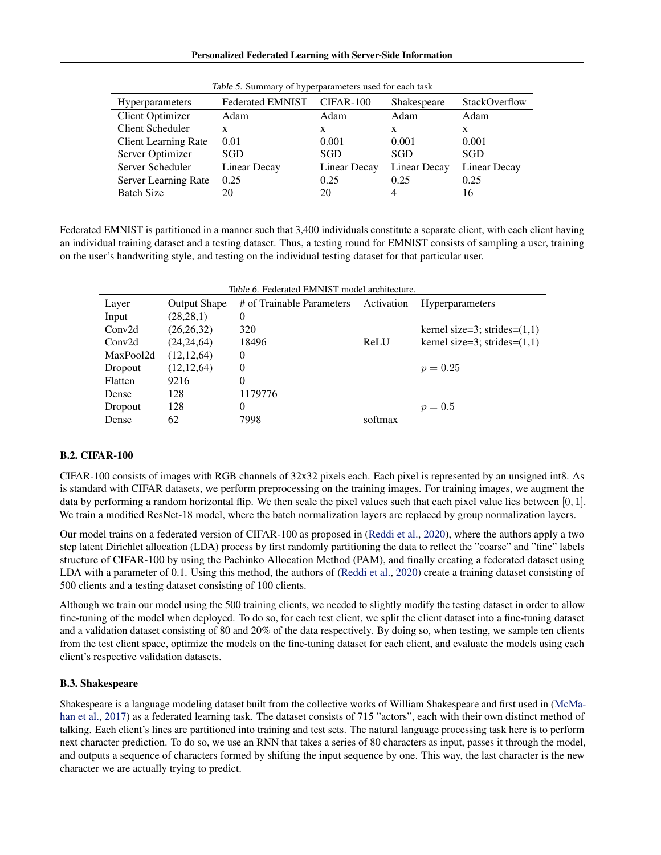#### Personalized Federated Learning with Server-Side Information

| <b>Hyperparameters</b>      | <b>Federated EMNIST</b> | CIFAR-100    | Shakespeare  | StackOverflow |
|-----------------------------|-------------------------|--------------|--------------|---------------|
| <b>Client Optimizer</b>     | Adam                    | Adam         | Adam         | Adam          |
| Client Scheduler            | X                       | X            | X            | X             |
| <b>Client Learning Rate</b> | 0.01                    | 0.001        | 0.001        | 0.001         |
| Server Optimizer            | SGD                     | SGD          | SGD          | <b>SGD</b>    |
| Server Scheduler            | <b>Linear Decay</b>     | Linear Decay | Linear Decay | Linear Decay  |
| Server Learning Rate        | 0.25                    | 0.25         | 0.25         | 0.25          |
| <b>Batch Size</b>           | 20                      | 20           | 4            | 16            |

Table 5. Summary of hyperparameters used for each task

Federated EMNIST is partitioned in a manner such that 3,400 individuals constitute a separate client, with each client having an individual training dataset and a testing dataset. Thus, a testing round for EMNIST consists of sampling a user, training on the user's handwriting style, and testing on the individual testing dataset for that particular user.

<span id="page-11-0"></span>

| Table 6. Federated EMNIST model architecture. |                     |                           |            |                                 |
|-----------------------------------------------|---------------------|---------------------------|------------|---------------------------------|
| Layer                                         | <b>Output Shape</b> | # of Trainable Parameters | Activation | <b>Hyperparameters</b>          |
| Input                                         | (28, 28, 1)         | 0                         |            |                                 |
| Conv2d                                        | (26, 26, 32)        | 320                       |            | kernel size=3; strides= $(1,1)$ |
| Conv2d                                        | (24, 24, 64)        | 18496                     | ReLU       | kernel size=3; strides= $(1,1)$ |
| MaxPool2d                                     | (12, 12, 64)        | $\theta$                  |            |                                 |
| Dropout                                       | (12, 12, 64)        | $\theta$                  |            | $p = 0.25$                      |
| Flatten                                       | 9216                | $\theta$                  |            |                                 |
| Dense                                         | 128                 | 1179776                   |            |                                 |
| Dropout                                       | 128                 | $\theta$                  |            | $p = 0.5$                       |
| Dense                                         | 62                  | 7998                      | softmax    |                                 |

## B.2. CIFAR-100

CIFAR-100 consists of images with RGB channels of 32x32 pixels each. Each pixel is represented by an unsigned int8. As is standard with CIFAR datasets, we perform preprocessing on the training images. For training images, we augment the data by performing a random horizontal flip. We then scale the pixel values such that each pixel value lies between  $[0, 1]$ . We train a modified ResNet-18 model, where the batch normalization layers are replaced by group normalization layers.

Our model trains on a federated version of CIFAR-100 as proposed in [\(Reddi et al.,](#page-9-7) [2020\)](#page-9-7), where the authors apply a two step latent Dirichlet allocation (LDA) process by first randomly partitioning the data to reflect the "coarse" and "fine" labels structure of CIFAR-100 by using the Pachinko Allocation Method (PAM), and finally creating a federated dataset using LDA with a parameter of 0.1. Using this method, the authors of [\(Reddi et al.,](#page-9-7) [2020\)](#page-9-7) create a training dataset consisting of 500 clients and a testing dataset consisting of 100 clients.

Although we train our model using the 500 training clients, we needed to slightly modify the testing dataset in order to allow fine-tuning of the model when deployed. To do so, for each test client, we split the client dataset into a fine-tuning dataset and a validation dataset consisting of 80 and 20% of the data respectively. By doing so, when testing, we sample ten clients from the test client space, optimize the models on the fine-tuning dataset for each client, and evaluate the models using each client's respective validation datasets.

## B.3. Shakespeare

Shakespeare is a language modeling dataset built from the collective works of William Shakespeare and first used in [\(McMa](#page-8-19)[han et al.,](#page-8-19) [2017\)](#page-8-19) as a federated learning task. The dataset consists of 715 "actors", each with their own distinct method of talking. Each client's lines are partitioned into training and test sets. The natural language processing task here is to perform next character prediction. To do so, we use an RNN that takes a series of 80 characters as input, passes it through the model, and outputs a sequence of characters formed by shifting the input sequence by one. This way, the last character is the new character we are actually trying to predict.